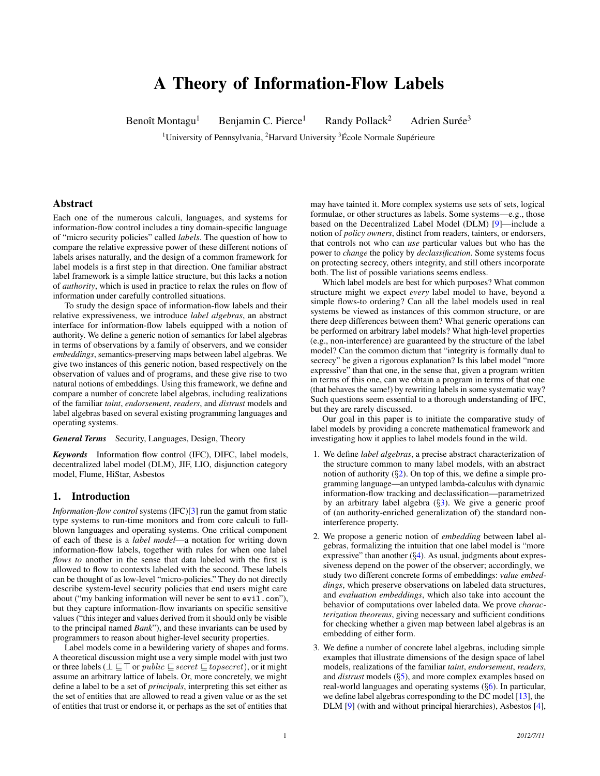# A Theory of Information-Flow Labels

Benoît Montagu<sup>1</sup> Benjamin C. Pierce<sup>1</sup> Randy Pollack<sup>2</sup>

Adrien Surée<sup>3</sup>

<sup>1</sup>University of Pennsylvania, <sup>2</sup>Harvard University  ${}^{3}$ École Normale Supérieure

# Abstract

Each one of the numerous calculi, languages, and systems for information-flow control includes a tiny domain-specific language of "micro security policies" called *labels*. The question of how to compare the relative expressive power of these different notions of labels arises naturally, and the design of a common framework for label models is a first step in that direction. One familiar abstract label framework is a simple lattice structure, but this lacks a notion of *authority*, which is used in practice to relax the rules on flow of information under carefully controlled situations.

To study the design space of information-flow labels and their relative expressiveness, we introduce *label algebras*, an abstract interface for information-flow labels equipped with a notion of authority. We define a generic notion of semantics for label algebras in terms of observations by a family of observers, and we consider *embeddings*, semantics-preserving maps between label algebras. We give two instances of this generic notion, based respectively on the observation of values and of programs, and these give rise to two natural notions of embeddings. Using this framework, we define and compare a number of concrete label algebras, including realizations of the familiar *taint*, *endorsement*, *readers*, and *distrust* models and label algebras based on several existing programming languages and operating systems.

*General Terms* Security, Languages, Design, Theory

*Keywords* Information flow control (IFC), DIFC, label models, decentralized label model (DLM), JIF, LIO, disjunction category model, Flume, HiStar, Asbestos

# 1. Introduction

*Information-flow control* systems (IFC)[\[3\]](#page-11-0) run the gamut from static type systems to run-time monitors and from core calculi to fullblown languages and operating systems. One critical component of each of these is a *label model*—a notation for writing down information-flow labels, together with rules for when one label *flows to* another in the sense that data labeled with the first is allowed to flow to contexts labeled with the second. These labels can be thought of as low-level "micro-policies." They do not directly describe system-level security policies that end users might care about ("my banking information will never be sent to evil.com"), but they capture information-flow invariants on specific sensitive values ("this integer and values derived from it should only be visible to the principal named *Bank*"), and these invariants can be used by programmers to reason about higher-level security properties.

Label models come in a bewildering variety of shapes and forms. A theoretical discussion might use a very simple model with just two or three labels ( $\bot \sqsubseteq \top$  or *public*  $\sqsubseteq secret \sqsubseteq topsecret$ ), or it might assume an arbitrary lattice of labels. Or, more concretely, we might define a label to be a set of *principals*, interpreting this set either as the set of entities that are allowed to read a given value or as the set of entities that trust or endorse it, or perhaps as the set of entities that

may have tainted it. More complex systems use sets of sets, logical formulae, or other structures as labels. Some systems—e.g., those based on the Decentralized Label Model (DLM) [\[9\]](#page-11-1)—include a notion of *policy owners*, distinct from readers, tainters, or endorsers, that controls not who can *use* particular values but who has the power to *change* the policy by *declassification*. Some systems focus on protecting secrecy, others integrity, and still others incorporate both. The list of possible variations seems endless.

Which label models are best for which purposes? What common structure might we expect *every* label model to have, beyond a simple flows-to ordering? Can all the label models used in real systems be viewed as instances of this common structure, or are there deep differences between them? What generic operations can be performed on arbitrary label models? What high-level properties (e.g., non-interference) are guaranteed by the structure of the label model? Can the common dictum that "integrity is formally dual to secrecy" be given a rigorous explanation? Is this label model "more expressive" than that one, in the sense that, given a program written in terms of this one, can we obtain a program in terms of that one (that behaves the same!) by rewriting labels in some systematic way? Such questions seem essential to a thorough understanding of IFC, but they are rarely discussed.

Our goal in this paper is to initiate the comparative study of label models by providing a concrete mathematical framework and investigating how it applies to label models found in the wild.

- 1. We define *label algebras*, a precise abstract characterization of the structure common to many label models, with an abstract notion of authority (§[2\)](#page-1-0). On top of this, we define a simple programming language—an untyped lambda-calculus with dynamic information-flow tracking and declassification—parametrized by an arbitrary label algebra  $(\S3)$  $(\S3)$ . We give a generic proof of (an authority-enriched generalization of) the standard noninterference property.
- 2. We propose a generic notion of *embedding* between label algebras, formalizing the intuition that one label model is "more expressive" than another  $(\S4)$  $(\S4)$ . As usual, judgments about expressiveness depend on the power of the observer; accordingly, we study two different concrete forms of embeddings: *value embeddings*, which preserve observations on labeled data structures, and *evaluation embeddings*, which also take into account the behavior of computations over labeled data. We prove *characterization theorems*, giving necessary and sufficient conditions for checking whether a given map between label algebras is an embedding of either form.
- 3. We define a number of concrete label algebras, including simple examples that illustrate dimensions of the design space of label models, realizations of the familiar *taint*, *endorsement*, *readers*, and *distrust* models (§[5\)](#page-5-0), and more complex examples based on real-world languages and operating systems (§[6\)](#page-7-0). In particular, we define label algebras corresponding to the DC model [\[13\]](#page-11-2), the DLM [\[9\]](#page-11-1) (with and without principal hierarchies), Asbestos [\[4\]](#page-11-3),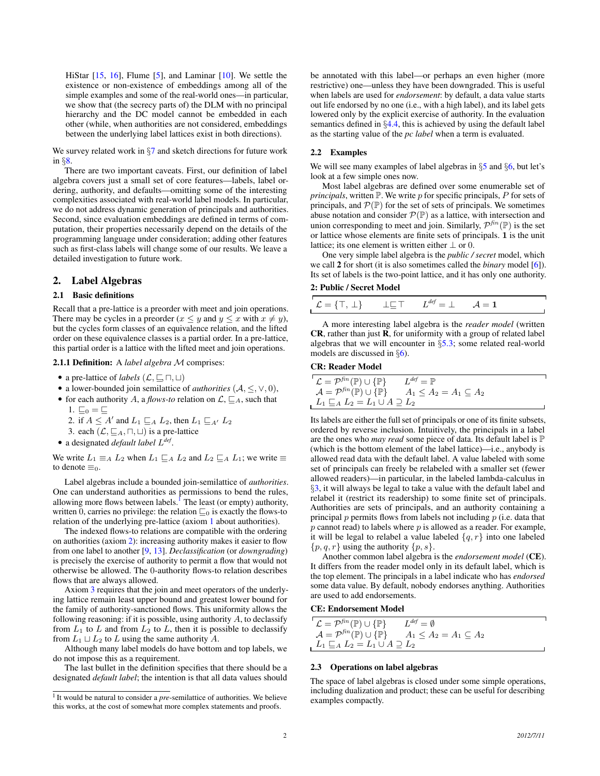HiStar [\[15,](#page-11-4) [16\]](#page-11-5), Flume [\[5\]](#page-11-6), and Laminar [\[10\]](#page-11-7). We settle the existence or non-existence of embeddings among all of the simple examples and some of the real-world ones—in particular, we show that (the secrecy parts of) the DLM with no principal hierarchy and the DC model cannot be embedded in each other (while, when authorities are not considered, embeddings between the underlying label lattices exist in both directions).

We survey related work in  $\S7$  $\S7$  and sketch directions for future work in §[8.](#page-11-8)

There are two important caveats. First, our definition of label algebra covers just a small set of core features—labels, label ordering, authority, and defaults—omitting some of the interesting complexities associated with real-world label models. In particular, we do not address dynamic generation of principals and authorities. Second, since evaluation embeddings are defined in terms of computation, their properties necessarily depend on the details of the programming language under consideration; adding other features such as first-class labels will change some of our results. We leave a detailed investigation to future work.

# <span id="page-1-0"></span>2. Label Algebras

# 2.1 Basic definitions

Recall that a pre-lattice is a preorder with meet and join operations. There may be cycles in a preorder ( $x \leq y$  and  $y \leq x$  with  $x \neq y$ ), but the cycles form classes of an equivalence relation, and the lifted order on these equivalence classes is a partial order. In a pre-lattice, this partial order is a lattice with the lifted meet and join operations.

2.1.1 Definition: A *label algebra* M comprises:

- a pre-lattice of *labels*  $(L, \subseteq \sqcap, \sqcup)$
- a lower-bounded join semilattice of *authorities* (A, ≤, ∨, 0),
- <span id="page-1-3"></span><span id="page-1-2"></span>• for each authority A, a *flows-to* relation on  $\mathcal{L}, \sqsubseteq_A$ , such that 1.  $\sqsubseteq_0 \; = \sqsubseteq$ 
	- 2. if  $A \leq A'$  and  $L_1 \sqsubseteq_A L_2$ , then  $L_1 \sqsubseteq_{A'} L_2$
	- 3. each  $(\mathcal{L}, \sqsubseteq_A, \sqcap, \sqcup)$  is a pre-lattice
- <span id="page-1-4"></span>• a designated *default label* L *def* .

We write  $L_1 \equiv_A L_2$  when  $L_1 \sqsubseteq_A L_2$  and  $L_2 \sqsubseteq_A L_1$ ; we write  $\equiv$ to denote  $\equiv_0$ .

Label algebras include a bounded join-semilattice of *authorities*. One can understand authorities as permissions to bend the rules, allowing more flows between labels.<sup> $\hat{1}$  $\hat{1}$  $\hat{1}$ </sup> The least (or empty) authority, written 0, carries no privilege: the relation  $\overline{\mathbb{Q}}_0$  is exactly the flows-to relation of the underlying pre-lattice (axiom [1](#page-1-2) about authorities).

The indexed flows-to relations are compatible with the ordering on authorities (axiom [2\)](#page-1-3): increasing authority makes it easier to flow from one label to another [\[9,](#page-11-1) [13\]](#page-11-2). *Declassification* (or *downgrading*) is precisely the exercise of authority to permit a flow that would not otherwise be allowed. The 0-authority flows-to relation describes flows that are always allowed.

Axiom [3](#page-1-4) requires that the join and meet operators of the underlying lattice remain least upper bound and greatest lower bound for the family of authority-sanctioned flows. This uniformity allows the following reasoning: if it is possible, using authority  $A$ , to declassify from  $L_1$  to  $L$  and from  $L_2$  to  $L$ , then it is possible to declassify from  $L_1 \sqcup L_2$  to L using the same authority A.

Although many label models do have bottom and top labels, we do not impose this as a requirement.

The last bullet in the definition specifies that there should be a designated *default label*; the intention is that all data values should be annotated with this label—or perhaps an even higher (more restrictive) one—unless they have been downgraded. This is useful when labels are used for *endorsement*: by default, a data value starts out life endorsed by no one (i.e., with a high label), and its label gets lowered only by the explicit exercise of authority. In the evaluation semantics defined in §[4.4,](#page-5-1) this is achieved by using the default label as the starting value of the *pc label* when a term is evaluated.

#### <span id="page-1-6"></span>2.2 Examples

We will see many examples of label algebras in  $\S$ [5](#page-5-0) and  $\S$ [6,](#page-7-0) but let's look at a few simple ones now.

Most label algebras are defined over some enumerable set of *principals*, written  $P$ . We write  $p$  for specific principals,  $P$  for sets of principals, and  $\mathcal{P}(\mathbb{P})$  for the set of sets of principals. We sometimes abuse notation and consider  $\mathcal{P}(\mathbb{P})$  as a lattice, with intersection and union corresponding to meet and join. Similarly,  $\mathcal{P}^{\text{fin}}(\mathbb{P})$  is the set or lattice whose elements are finite sets of principals. 1 is the unit lattice; its one element is written either  $\perp$  or 0.

One very simple label algebra is the *public / secret* model, which we call 2 for short (it is also sometimes called the *binary* model [\[6\]](#page-11-9)). Its set of labels is the two-point lattice, and it has only one authority.

#### 2: Public / Secret Model

|  | ш |  |  |
|--|---|--|--|
|--|---|--|--|

<span id="page-1-5"></span>A more interesting label algebra is the *reader model* (written  $CR$ , rather than just  $\overline{R}$ , for uniformity with a group of related label algebras that we will encounter in §[5.3;](#page-6-0) some related real-world models are discussed in §[6\)](#page-7-0).

#### CR: Reader Model

| $\mathcal{L} = \mathcal{P}^{\mathit{fin}}(\mathbb{P}) \cup \{\mathbb{P}\}.$ | $L^{def} = \mathbb{P}$                                                                                      |  |
|-----------------------------------------------------------------------------|-------------------------------------------------------------------------------------------------------------|--|
|                                                                             | $\mathcal{A} = \mathcal{P}^{\text{fin}}(\mathbb{P}) \cup \{\mathbb{P}\}$ $A_1 \leq A_2 = A_1 \subseteq A_2$ |  |
| $L_1 \sqsubseteq_A L_2 = L_1 \cup A \supseteq L_2$                          |                                                                                                             |  |

Its labels are either the full set of principals or one of its finite subsets, ordered by reverse inclusion. Intuitively, the principals in a label are the ones who *may read* some piece of data. Its default label is P (which is the bottom element of the label lattice)—i.e., anybody is allowed read data with the default label. A value labeled with some set of principals can freely be relabeled with a smaller set (fewer allowed readers)—in particular, in the labeled lambda-calculus in §[3,](#page-2-0) it will always be legal to take a value with the default label and relabel it (restrict its readership) to some finite set of principals. Authorities are sets of principals, and an authority containing a principal  $p$  permits flows from labels not including  $p$  (i.e. data that  $p$  cannot read) to labels where  $p$  is allowed as a reader. For example, it will be legal to relabel a value labeled  $\{q, r\}$  into one labeled  $\{p, q, r\}$  using the authority  $\{p, s\}.$ 

Another common label algebra is the *endorsement model* (CE). It differs from the reader model only in its default label, which is the top element. The principals in a label indicate who has *endorsed* some data value. By default, nobody endorses anything. Authorities are used to add endorsements.

# CE: Endorsement Model

| $\mathcal{L} = \mathcal{P}^{\text{fin}}(\mathbb{P}) \cup \{\mathbb{P}\}\$         | $L^{def} = \emptyset$             |
|-----------------------------------------------------------------------------------|-----------------------------------|
| $\mathcal{A} = \mathcal{P}^{\operatorname{fin}}(\mathbb{P}) \cup \{\mathbb{P}\}\$ | $A_1 \le A_2 = A_1 \subseteq A_2$ |
| $L_1 \sqsubseteq_A L_2 = L_1 \cup A \supseteq L_2$                                |                                   |

# 2.3 Operations on label algebras

The space of label algebras is closed under some simple operations, including dualization and product; these can be useful for describing examples compactly.

<span id="page-1-1"></span><sup>&</sup>lt;sup>1</sup> It would be natural to consider a *pre*-semilattice of authorities. We believe this works, at the cost of somewhat more complex statements and proofs.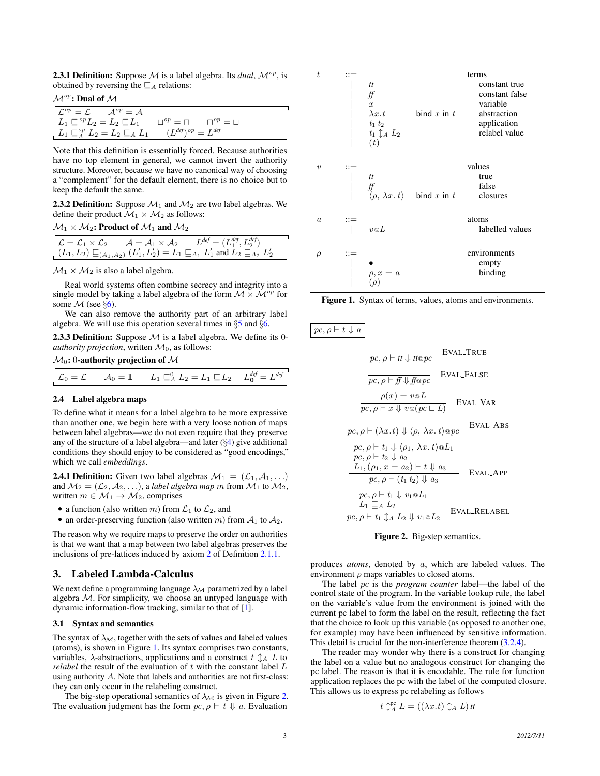**2.3.1 Definition:** Suppose  $M$  is a label algebra. Its *dual*,  $M^{op}$ , is obtained by reversing the  $\mathcal{L}_A$  relations:

 $\mathcal{M}^{op}$ : Dual of  $\mathcal M$ 

$$
\mathcal{L}^{op} = \mathcal{L} \qquad \mathcal{A}^{op} = \mathcal{A}
$$
\n
$$
L_1 \sqsubseteq_{\substack{op\\ C}p}^{\substack{op\\ C}D} L_2 = L_2 \sqsubseteq L_1 \qquad \sqcup_{\substack{op\\ C}D}^{\substack{op\\ C}D} = \sqcap \qquad \sqcap_{\substack{op\\ C}D}^{\substack{op\\ C}D} = \sqcup
$$

Note that this definition is essentially forced. Because authorities have no top element in general, we cannot invert the authority structure. Moreover, because we have no canonical way of choosing a "complement" for the default element, there is no choice but to keep the default the same.

**2.3.2 Definition:** Suppose  $\mathcal{M}_1$  and  $\mathcal{M}_2$  are two label algebras. We define their product  $\mathcal{M}_1 \times \mathcal{M}_2$  as follows:

$$
M_1 \times M_2
$$
: Product of  $M_1$  and  $M_2$ 

 $\mathcal{L} = \mathcal{L}_1 \times \mathcal{L}_2 \qquad \mathcal{A} = \mathcal{A}_1 \times \mathcal{A}_2 \qquad L^{def} = (L^{def}_1, L^{def}_2)$  $(L_1, L_2) \sqsubseteq_{(A_1, A_2)} (L'_1, L'_2) = L_1 \sqsubseteq_{A_1} L'_1$  and  $L_2 \sqsubseteq_{A_2} L'_2$ 

 $\mathcal{M}_1 \times \mathcal{M}_2$  is also a label algebra.

Real world systems often combine secrecy and integrity into a single model by taking a label algebra of the form  $\mathcal{M} \times \mathcal{M}^{op}$  for some  $M$  (see  $\S$ [6\)](#page-7-0).

We can also remove the authority part of an arbitrary label algebra. We will use this operation several times in §[5](#page-5-0) and §[6.](#page-7-0)

2.3.3 Definition: Suppose M is a label algebra. We define its 0 *authority projection*, written  $\mathcal{M}_0$ , as follows:

$$
\mathcal{M}_0: 0\n\n\n authority projection of  $\mathcal{M}$ \n
$$
\mathcal{L}_0 = \mathcal{L} \qquad \mathcal{A}_0 = 1 \qquad L_1 \sqsubseteq_A^0 L_2 = L_1 \sqsubseteq L_2 \qquad L_0^{def} = L^{def}
$$
$$

#### 2.4 Label algebra maps

To define what it means for a label algebra to be more expressive than another one, we begin here with a very loose notion of maps between label algebras—we do not even require that they preserve any of the structure of a label algebra—and later (§[4\)](#page-3-0) give additional conditions they should enjoy to be considered as "good encodings," which we call *embeddings*.

**2.4.1 Definition:** Given two label algebras  $M_1 = (\mathcal{L}_1, \mathcal{A}_1, \ldots)$ and  $\mathcal{M}_2 = (\mathcal{L}_2, \mathcal{A}_2, \ldots)$ , a *label algebra map* m from  $\mathcal{M}_1$  to  $\mathcal{M}_2$ , written  $m \in \mathcal{M}_1 \rightarrow \mathcal{M}_2$ , comprises

- a function (also written m) from  $\mathcal{L}_1$  to  $\mathcal{L}_2$ , and
- an order-preserving function (also written m) from  $A_1$  to  $A_2$ .

The reason why we require maps to preserve the order on authorities is that we want that a map between two label algebras preserves the inclusions of pre-lattices induced by axiom [2](#page-1-3) of Definition [2.1.1.](#page-1-5)

# <span id="page-2-0"></span>3. Labeled Lambda-Calculus

We next define a programming language  $\lambda_{\mathcal{M}}$  parametrized by a label algebra  $M$ . For simplicity, we choose an untyped language with dynamic information-flow tracking, similar to that of [\[1\]](#page-11-10).

# 3.1 Syntax and semantics

The syntax of  $\lambda_{\mathcal{M}}$ , together with the sets of values and labeled values (atoms), is shown in Figure [1.](#page-2-1) Its syntax comprises two constants, variables,  $\lambda$ -abstractions, applications and a construct  $t \uparrow A$  L to *relabel* the result of the evaluation of  $t$  with the constant label  $L$ using authority A. Note that labels and authorities are not first-class: they can only occur in the relabeling construct.

The big-step operational semantics of  $\lambda_M$  is given in Figure [2.](#page-2-2) The evaluation judgment has the form  $pc, \rho \vdash t \Downarrow a$ . Evaluation



<span id="page-2-1"></span>

 $pc, \rho \vdash t \Downarrow a$ 

$$
\overline{pc, \rho \vdash t \Downarrow t \text{age}} \quad \text{EVAL} \text{TRUE}
$$
\n
$$
\frac{\rho(x) = v \text{a}L}{pc, \rho \vdash ff \Downarrow ff \text{age}} \quad \text{EVAL} \text{FALSE}}
$$
\n
$$
\frac{\rho(x) = v \text{a}L}{pc, \rho \vdash x \Downarrow v \text{a} (pc \sqcup L)} \quad \text{EVAL} \text{VAR}}
$$
\n
$$
\frac{\rho(x) = v \text{a}L}{pc, \rho \vdash (\lambda x. t) \Downarrow \langle \rho, \lambda x. t \rangle \text{age}} \quad \text{EVAL} \text{ABS}
$$
\n
$$
\frac{pc, \rho \vdash t_1 \Downarrow \langle \rho_1, \lambda x. t \rangle \text{a}L_1}{pc, \rho \vdash t_2 \Downarrow a_2} \quad \text{EVAL} \text{APP}
$$
\n
$$
\frac{L_1, (\rho_1, x = a_2) \vdash t \Downarrow a_3}{pc, \rho \vdash t_1 \Downarrow v_1 \text{a}L_1} \quad \text{EVAL} \text{APP}
$$
\n
$$
\frac{L_1 \sqsubseteq_A L_2}{pc, \rho \vdash t_1 \Downarrow A L_2 \Downarrow v_1 \text{a}L_2} \quad \text{EVAL} \text{RELABEL}
$$

<span id="page-2-2"></span>Figure 2. Big-step semantics.

produces *atoms*, denoted by a, which are labeled values. The environment  $\rho$  maps variables to closed atoms.

The label pc is the *program counter* label—the label of the control state of the program. In the variable lookup rule, the label on the variable's value from the environment is joined with the current pc label to form the label on the result, reflecting the fact that the choice to look up this variable (as opposed to another one, for example) may have been influenced by sensitive information. This detail is crucial for the non-interference theorem  $(3.2.4)$ .

The reader may wonder why there is a construct for changing the label on a value but no analogous construct for changing the pc label. The reason is that it is encodable. The rule for function application replaces the pc with the label of the computed closure. This allows us to express pc relabeling as follows

$$
t \downarrow_A^{\text{pc}} L = ((\lambda x. t) \downarrow_A L) \, \text{tr}
$$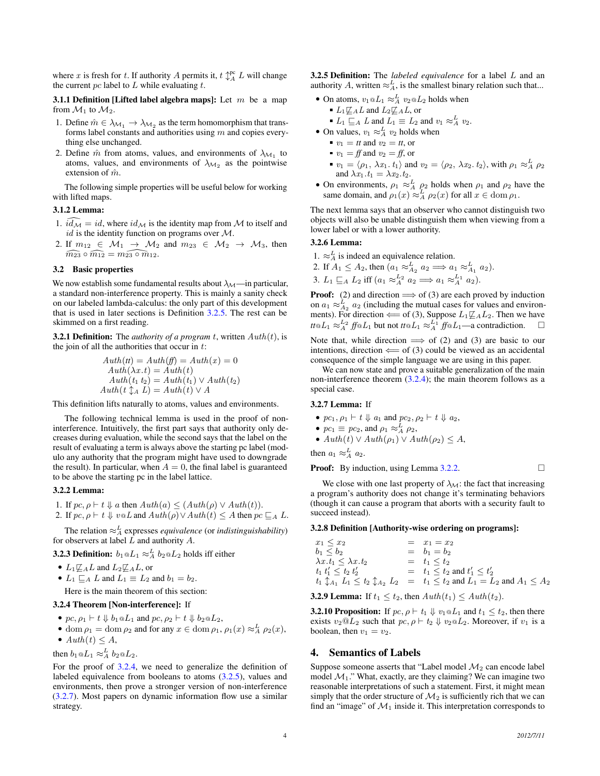where x is fresh for t. If authority A permits it,  $t \downarrow_A^{\text{pc}} L$  will change the current  $pc$  label to  $L$  while evaluating  $t$ .

**3.1.1 Definition [Lifted label algebra maps]:** Let  $m$  be a map from  $\mathcal{M}_1$  to  $\mathcal{M}_2$ .

- 1. Define  $\hat{m} \in \lambda_{M_1} \to \lambda_{M_2}$  as the term homomorphism that transforms label constants and authorities using  $m$  and copies everything else unchanged.
- 2. Define  $\hat{m}$  from atoms, values, and environments of  $\lambda_{M_1}$  to atoms, values, and environments of  $\lambda_{\mathcal{M}_2}$  as the pointwise extension of  $\hat{m}$ .

<span id="page-3-4"></span>The following simple properties will be useful below for working with lifted maps.

# 3.1.2 Lemma:

- 1.  $i\partial_M = id$ , where  $id_M$  is the identity map from M to itself and id is the identity function on programs over  $M$ .
- 2. If  $m_{12} \in \mathcal{M}_1 \rightarrow \mathcal{M}_2$  and  $m_{23} \in \mathcal{M}_2 \rightarrow \mathcal{M}_3$ , then  $\widehat{m_{23}} \circ \widehat{m_{12}} = \widehat{m_{23} \circ m_{12}}.$

#### 3.2 Basic properties

We now establish some fundamental results about  $\lambda_{\mathcal{M}}$ —in particular, a standard non-interference property. This is mainly a sanity check on our labeled lambda-calculus: the only part of this development that is used in later sections is Definition [3.2.5.](#page-3-2) The rest can be skimmed on a first reading.

**3.2.1 Definition:** The *authority of a program t*, written  $\text{Aut}h(t)$ , is the join of all the authorities that occur in  $t$ :

$$
Author(t) = Author(f) = Author(x) = 0
$$
  
\n
$$
Author(\lambda x. t) = Author(t)
$$
  
\n
$$
Author(t_1 t_2) = Author(t_1) \lor Author(t_2)
$$
  
\n
$$
Author(t \uparrow_A L) = Author(t) \lor A
$$

This definition lifts naturally to atoms, values and environments.

The following technical lemma is used in the proof of noninterference. Intuitively, the first part says that authority only decreases during evaluation, while the second says that the label on the result of evaluating a term is always above the starting pc label (modulo any authority that the program might have used to downgrade the result). In particular, when  $A = 0$ , the final label is guaranteed to be above the starting pc in the label lattice.

#### 3.2.2 Lemma:

- 1. If  $pc, \rho \vdash t \Downarrow a$  then  $Auth(a) \leq (Auth(\rho) \vee Author(t)).$
- 2. If  $pc, \rho \vdash t \Downarrow v \otimes L$  and  $Auth(\rho) \vee Auth(t) \leq A$  then  $pc \sqsubseteq_A L$ .

The relation  $\approx_A^L$  expresses *equivalence* (or *indistinguishability*) for observers at label  $\overline{L}$  and authority  $\overline{A}$ .

**3.2.3 Definition:**  $b_1 \text{\e} L_1 \approx_A^L b_2 \text{\e} L_2$  holds iff either

- $L_1 \not\sqsubseteq_A L$  and  $L_2 \not\sqsubseteq_A L$ , or
- $L_1 \sqsubseteq_A L$  and  $L_1 \equiv L_2$  and  $b_1 = b_2$ .

Here is the main theorem of this section:

#### 3.2.4 Theorem [Non-interference]: If

- $pc, \rho_1 \vdash t \Downarrow b_1 \otimes L_1$  and  $pc, \rho_2 \vdash t \Downarrow b_2 \otimes L_2$ ,
- dom  $\rho_1 = \text{dom } \rho_2$  and for any  $x \in \text{dom } \rho_1$ ,  $\rho_1(x) \approx_A^L \rho_2(x)$ , •  $Auth(t) \leq A$ ,

then  $b_1 \, \mathfrak{a} L_1 \approx_A^L b_2 \, \mathfrak{a} L_2$ .

<span id="page-3-2"></span>For the proof of [3.2.4,](#page-3-1) we need to generalize the definition of labeled equivalence from booleans to atoms [\(3.2.5\)](#page-3-2), values and environments, then prove a stronger version of non-interference [\(3.2.7\)](#page-3-3). Most papers on dynamic information flow use a similar strategy.

3.2.5 Definition: The *labeled equivalence* for a label L and an authority A, written  $\approx_A^L$ , is the smallest binary relation such that...

- On atoms,  $v_1 \, \mathfrak{a} L_1 \approx_A^L v_2 \, \mathfrak{a} L_2$  holds when
	- $L_1 \not\sqsubseteq_A L$  and  $L_2 \not\sqsubseteq_A L$ , or
	- $L_1 \sqsubseteq_A L$  and  $L_1 \equiv L_2$  and  $v_1 \approx_A^L v_2$ .
- On values,  $v_1 \approx_A^L v_2$  holds when
	- $v_1 = tt$  and  $v_2 = tt$ , or
	- $v_1 = ff$  and  $v_2 = ff$ , or
	- $v_1 = \langle \rho_1, \, \lambda x_1 \cdot t_1 \rangle$  and  $v_2 = \langle \rho_2, \, \lambda x_2 \cdot t_2 \rangle$ , with  $\rho_1 \approx_A^L \rho_2$ and  $\lambda x_1.t_1 = \lambda x_2.t_2$ .
- On environments,  $\rho_1 \approx_A^L \rho_2$  holds when  $\rho_1$  and  $\rho_2$  have the same domain, and  $\rho_1(x) \approx_A^L \rho_2(x)$  for all  $x \in \text{dom } \rho_1$ .

The next lemma says that an observer who cannot distinguish two objects will also be unable distinguish them when viewing from a lower label or with a lower authority.

# 3.2.6 Lemma:

- <span id="page-3-5"></span>1.  $\approx_A^L$  is indeed an equivalence relation.
- 2. If  $A_1 \leq A_2$ , then  $(a_1 \approx_{A_2}^L a_2 \Longrightarrow a_1 \approx_{A_1}^L a_2)$ . 3.  $L_1 \sqsubseteq_A L_2$  iff  $(a_1 \approx_A^{L_2} a_2 \Longrightarrow a_1 \approx_A^{L_1} a_2)$ .

**Proof:** (2) and direction  $\implies$  of (3) are each proved by induction on  $a_1 \approx_{A_2}^L a_2$  (including the mutual cases for values and environments). For direction  $\Longleftarrow$  of (3), Suppose  $L_1 \not\sqsubseteq_A L_2$ . Then we have *tt*⊚ $L_1 \approx_A^{L_2} f$ f ⊚ $L_1$  but not *tt* © $L_1 \approx_A^{L_1} f$  ∫⊚ $L_1$ —a contradiction.  $\Box$ 

Note that, while direction  $\implies$  of (2) and (3) are basic to our intentions, direction  $\Leftarrow$  of (3) could be viewed as an accidental consequence of the simple language we are using in this paper.

We can now state and prove a suitable generalization of the main non-interference theorem  $(3.2.4)$ ; the main theorem follows as a special case.

# <span id="page-3-3"></span>3.2.7 Lemma: If

- $pc_1, \rho_1 \vdash t \Downarrow a_1$  and  $pc_2, \rho_2 \vdash t \Downarrow a_2$ ,
- $pc_1 \equiv pc_2$ , and  $\rho_1 \approx_A^L \rho_2$ ,
- $Auth(t) \vee Auth(\rho_1) \vee Auth(\rho_2) \leq A$ ,

then  $a_1 \approx_A^L a_2$ .

**Proof:** By induction, using Lemma [3.2.2.](#page-3-4) □

We close with one last property of  $\lambda_M$ : the fact that increasing a program's authority does not change it's terminating behaviors (though it can cause a program that aborts with a security fault to succeed instead).

# 3.2.8 Definition [Authority-wise ordering on programs]:

 $x_1 \leq x_2 = x_1 = x_2$  $b_1 \leq b_2 = b_1 = b_2$  $\lambda x \cdot t_1 \leq \lambda x \cdot t_2$  =  $t_1 \leq t_2$  $t_1 t_1' \le t_2 t_2'$ <br>  $t_1 t_1' \le t_2 t_2'$ <br>  $t_1 t_1 t_1 \le t_2 t_2 t_2 = t_1 t_2 t_2$  and  $t_1 = L_2$  and  $A_1 \le A_2$ 

<span id="page-3-1"></span>**3.2.9 Lemma:** If  $t_1 \le t_2$ , then  $\text{Auth}(t_1) \le \text{Auth}(t_2)$ .

**3.2.10 Proposition:** If  $pc, \rho \vdash t_1 \Downarrow v_1 \otimes L_1$  and  $t_1 \leq t_2$ , then there exists  $v_2 \mathbb{Q} L_2$  such that  $pc, \rho \vdash t_2 \Downarrow v_2 \mathbb{Q} L_2$ . Moreover, if  $v_1$  is a boolean, then  $v_1 = v_2$ .

# <span id="page-3-0"></span>4. Semantics of Labels

Suppose someone asserts that "Label model  $\mathcal{M}_2$  can encode label model  $M_1$ ." What, exactly, are they claiming? We can imagine two reasonable interpretations of such a statement. First, it might mean simply that the order structure of  $\mathcal{M}_2$  is sufficiently rich that we can find an "image" of  $\mathcal{M}_1$  inside it. This interpretation corresponds to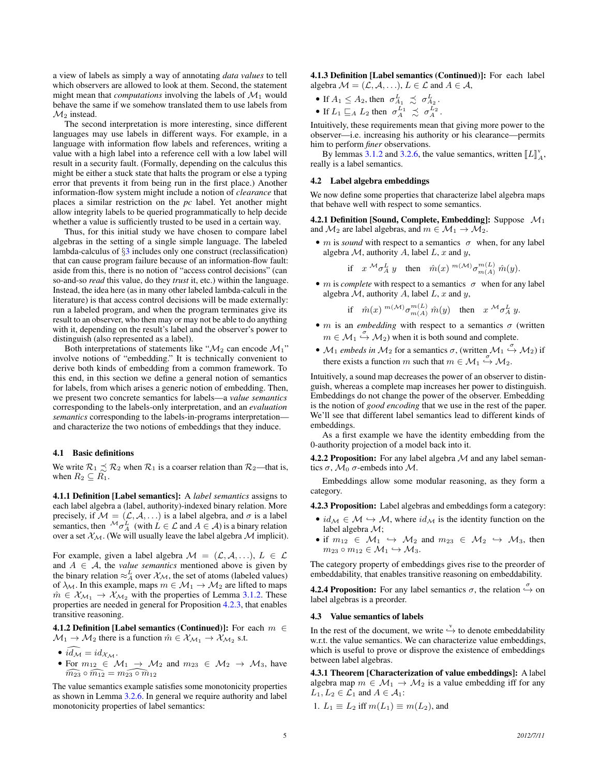a view of labels as simply a way of annotating *data values* to tell which observers are allowed to look at them. Second, the statement might mean that *computations* involving the labels of  $\mathcal{M}_1$  would behave the same if we somehow translated them to use labels from  $\mathcal{M}_2$  instead.

The second interpretation is more interesting, since different languages may use labels in different ways. For example, in a language with information flow labels and references, writing a value with a high label into a reference cell with a low label will result in a security fault. (Formally, depending on the calculus this might be either a stuck state that halts the program or else a typing error that prevents it from being run in the first place.) Another information-flow system might include a notion of *clearance* that places a similar restriction on the *pc* label. Yet another might allow integrity labels to be queried programmatically to help decide whether a value is sufficiently trusted to be used in a certain way.

Thus, for this initial study we have chosen to compare label algebras in the setting of a single simple language. The labeled lambda-calculus of  $\S3$  $\S3$  includes only one construct (reclassification) that can cause program failure because of an information-flow fault: aside from this, there is no notion of "access control decisions" (can so-and-so *read* this value, do they *trust* it, etc.) within the language. Instead, the idea here (as in many other labeled lambda-calculi in the literature) is that access control decisions will be made externally: run a labeled program, and when the program terminates give its result to an observer, who then may or may not be able to do anything with it, depending on the result's label and the observer's power to distinguish (also represented as a label).

Both interpretations of statements like " $\mathcal{M}_2$  can encode  $\mathcal{M}_1$ " involve notions of "embedding." It is technically convenient to derive both kinds of embedding from a common framework. To this end, in this section we define a general notion of semantics for labels, from which arises a generic notion of embedding. Then, we present two concrete semantics for labels—a *value semantics* corresponding to the labels-only interpretation, and an *evaluation semantics* corresponding to the labels-in-programs interpretation and characterize the two notions of embeddings that they induce.

#### 4.1 Basic definitions

We write  $\mathcal{R}_1 \preceq \mathcal{R}_2$  when  $\mathcal{R}_1$  is a coarser relation than  $\mathcal{R}_2$ —that is, when  $R_2 \subseteq R_1$ .

<span id="page-4-1"></span>4.1.1 Definition [Label semantics]: A *label semantics* assigns to each label algebra a (label, authority)-indexed binary relation. More precisely, if  $M = (L, A, ...)$  is a label algebra, and  $\sigma$  is a label semantics, then  ${}^{\mathcal{M}}\sigma_A^L$  (with  $L \in \mathcal{L}$  and  $A \in \mathcal{A}$ ) is a binary relation over a set  $X_{\mathcal{M}}$ . (We will usually leave the label algebra  $\mathcal M$  implicit).

For example, given a label algebra  $M = (\mathcal{L}, \mathcal{A}, \ldots), L \in \mathcal{L}$ and  $A \in \mathcal{A}$ , the *value semantics* mentioned above is given by the binary relation  $\approx_A^L$  over  $\mathcal{X}_M$ , the set of atoms (labeled values) of  $\lambda_M$ . In this example, maps  $m \in \mathcal{M}_1 \to \mathcal{M}_2$  are lifted to maps  $\hat{m} \in \mathcal{X}_{M_1} \to \mathcal{X}_{M_2}$  with the properties of Lemma [3.1.2.](#page-3-4) These properties are needed in general for Proposition [4.2.3,](#page-4-0) that enables transitive reasoning.

<span id="page-4-2"></span>4.1.2 Definition [Label semantics (Continued)]: For each  $m \in$  $\mathcal{M}_1 \to \mathcal{M}_2$  there is a function  $\hat{m} \in \mathcal{X}_{\mathcal{M}_1} \to \mathcal{X}_{\mathcal{M}_2}$  s.t.

- $i\widehat{d_{\mathcal{M}}} = id_{\mathcal{X}_{\mathcal{M}}}$ .
- For  $m_{12} \in \mathcal{M}_1 \rightarrow \mathcal{M}_2$  and  $m_{23} \in \mathcal{M}_2 \rightarrow \mathcal{M}_3$ , have  $\widehat{m_{23}} \circ \widehat{m_{12}} = \widehat{m_{23} \circ m_{12}}$

The value semantics example satisfies some monotonicity properties as shown in Lemma [3.2.6.](#page-3-5) In general we require authority and label monotonicity properties of label semantics:

4.1.3 Definition [Label semantics (Continued)]: For each label algebra  $\mathcal{M} = (\mathcal{L}, \mathcal{A}, \ldots), L \in \mathcal{L}$  and  $A \in \mathcal{A}$ ,

- If  $A_1 \leq A_2$ , then  $\sigma_{A_1}^L \precsim \sigma_{A_2}^L$ .
- If  $L_1 \sqsubseteq_A L_2$  then  $\sigma_A^{L_1} \precsim \sigma_A^{L_2}$ .

Intuitively, these requirements mean that giving more power to the observer—i.e. increasing his authority or his clearance—permits him to perform *finer* observations.

By lemmas [3.1.2](#page-3-4) and [3.2.6,](#page-3-5) the value semantics, written  $[[L]]_A^v$ ,  $[[U]_A^v$ really is a label semantics.

#### 4.2 Label algebra embeddings

We now define some properties that characterize label algebra maps that behave well with respect to some semantics.

**4.2.1 Definition [Sound, Complete, Embedding]:** Suppose  $\mathcal{M}_1$ and  $\mathcal{M}_2$  are label algebras, and  $m \in \mathcal{M}_1 \rightarrow \mathcal{M}_2$ .

• *m* is *sound* with respect to a semantics  $\sigma$  when, for any label algebra  $M$ , authority A, label L, x and y,

if 
$$
x \stackrel{\mathcal{M}}{\sim} \sigma_A^L y
$$
 then  $\hat{m}(x) \stackrel{m(\mathcal{M})}{\sim} \sigma_{m(A)}^{m(L)} \hat{m}(y)$ .

• *m* is *complete* with respect to a semantics  $\sigma$  when for any label algebra  $M$ , authority A, label L, x and y,

$$
\text{if } \hat{m}(x) \stackrel{m(\mathcal{M})}{\sim} \sigma_{m(A)}^{m(L)} \hat{m}(y) \quad \text{then } x \stackrel{\mathcal{M}}{\sim} \sigma_A^L y.
$$

- *m* is an *embedding* with respect to a semantics  $\sigma$  (written  $m \in \mathcal{M}_1 \stackrel{\sigma}{\hookrightarrow} \mathcal{M}_2$ ) when it is both sound and complete.
- $M_1$  *embeds in*  $M_2$  for a semantics  $\sigma$ , (written  $M_1 \stackrel{\sigma}{\hookrightarrow} M_2$ ) if there exists a function m such that  $m \in \mathcal{M}_1 \stackrel{\sigma}{\hookrightarrow} \mathcal{M}_2$ .

Intuitively, a sound map decreases the power of an observer to distinguish, whereas a complete map increases her power to distinguish. Embeddings do not change the power of the observer. Embedding is the notion of *good encoding* that we use in the rest of the paper. We'll see that different label semantics lead to different kinds of embeddings.

As a first example we have the identity embedding from the 0-authority projection of a model back into it.

**4.2.2 Proposition:** For any label algebra  $M$  and any label semantics  $\sigma$ ,  $\mathcal{M}_0$   $\sigma$ -embeds into  $\mathcal{M}$ .

Embeddings allow some modular reasoning, as they form a category.

4.2.3 Proposition: Label algebras and embeddings form a category:

- $id_{\mathcal{M}} \in \mathcal{M} \hookrightarrow \mathcal{M}$ , where  $id_{\mathcal{M}}$  is the identity function on the label algebra M;
- <span id="page-4-3"></span>• if  $m_{12} \in \mathcal{M}_1 \hookrightarrow \mathcal{M}_2$  and  $m_{23} \in \mathcal{M}_2 \hookrightarrow \mathcal{M}_3$ , then  $m_{23} \circ m_{12} \in \mathcal{M}_1 \hookrightarrow \mathcal{M}_3.$

The category property of embeddings gives rise to the preorder of embeddability, that enables transitive reasoning on embeddability.

**4.2.4 Proposition:** For any label semantics  $\sigma$ , the relation  $\stackrel{\sigma}{\hookrightarrow}$  on label algebras is a preorder.

#### 4.3 Value semantics of labels

In the rest of the document, we write  $\stackrel{v}{\hookrightarrow}$  to denote embeddability w.r.t. the value semantics. We can characterize value embeddings, which is useful to prove or disprove the existence of embeddings between label algebras.

4.3.1 Theorem [Characterization of value embeddings]: A label algebra map  $m \in M_1 \rightarrow M_2$  is a value embedding iff for any  $L_1, L_2 \in \mathcal{L}_1$  and  $A \in \mathcal{A}_1$ :

<span id="page-4-0"></span>1.  $L_1 \equiv L_2$  iff  $m(L_1) \equiv m(L_2)$ , and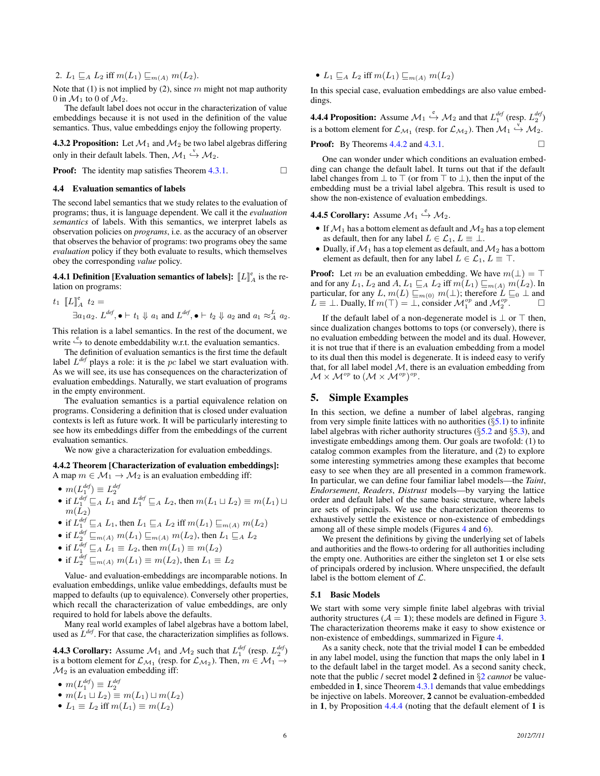2.  $L_1 \sqsubseteq_A L_2$  iff  $m(L_1) \sqsubseteq_{m(A)} m(L_2)$ .

Note that (1) is not implied by (2), since  $m$  might not map authority 0 in  $\mathcal{M}_1$  to 0 of  $\mathcal{M}_2$ .

The default label does not occur in the characterization of value embeddings because it is not used in the definition of the value semantics. Thus, value embeddings enjoy the following property.

**4.3.2 Proposition:** Let  $\mathcal{M}_1$  and  $\mathcal{M}_2$  be two label algebras differing only in their default labels. Then,  $\mathcal{M}_1 \stackrel{v}{\hookrightarrow} \mathcal{M}_2$ .

**Proof:** The identity map satisfies Theorem  $4.3.1$ .

#### <span id="page-5-1"></span>4.4 Evaluation semantics of labels

The second label semantics that we study relates to the evaluation of programs; thus, it is language dependent. We call it the *evaluation semantics* of labels. With this semantics, we interpret labels as observation policies on *programs*, i.e. as the accuracy of an observer that observes the behavior of programs: two programs obey the same *evaluation* policy if they both evaluate to results, which themselves obey the corresponding *value* policy.

**4.4.1 Definition [Evaluation semantics of labels]:**  $[[L]]_A^e$  is the re-<br>lation on programs: lation on programs:

$$
t_1 \llbracket L \rrbracket_A^e \; t_2 =
$$
  

$$
\exists a_1 a_2. \ L^{def}, \bullet \vdash t_1 \Downarrow a_1 \text{ and } L^{def}, \bullet \vdash t_2 \Downarrow a_2 \text{ and } a_1 \approx_A^L a_2.
$$

This relation is a label semantics. In the rest of the document, we write  $\stackrel{e}{\hookrightarrow}$  to denote embeddability w.r.t. the evaluation semantics.

The definition of evaluation semantics is the first time the default label  $L^{def}$  plays a role: it is the pc label we start evaluation with. As we will see, its use has consequences on the characterization of evaluation embeddings. Naturally, we start evaluation of programs in the empty environment.

The evaluation semantics is a partial equivalence relation on programs. Considering a definition that is closed under evaluation contexts is left as future work. It will be particularly interesting to see how its embeddings differ from the embeddings of the current evaluation semantics.

We now give a characterization for evaluation embeddings.

4.4.2 Theorem [Characterization of evaluation embeddings]: A map  $m \in M_1 \rightarrow M_2$  is an evaluation embedding iff:

- 
- $m(L_1^{def}) \equiv L_2^{def}$ <br>• if  $L_1^{def} \sqsubseteq_A L_1$  and  $L_1^{def} \sqsubseteq_A L_2$ , then  $m(L_1 \sqcup L_2) \equiv m(L_1) \sqcup$  $m(L_2)$
- if  $L_1^{def} \sqsubseteq_A L_1$ , then  $L_1 \sqsubseteq_A L_2$  iff  $m(L_1) \sqsubseteq_{m(A)} m(L_2)$
- if  $L_2^{\text{def}} \sqsubseteq_{m(A)} m(L_1) \sqsubseteq_{m(A)} m(L_2)$ , then  $L_1 \sqsubseteq_A L_2$
- if  $L_1^{def} \sqsubseteq_A L_1 \equiv L_2$ , then  $m(L_1) \equiv m(L_2)$
- if  $L_2^{\text{def}} \sqsubseteq_{m(A)} m(L_1) \equiv m(L_2)$ , then  $L_1 \equiv L_2$

Value- and evaluation-embeddings are incomparable notions. In evaluation embeddings, unlike value embeddings, defaults must be mapped to defaults (up to equivalence). Conversely other properties, which recall the characterization of value embeddings, are only required to hold for labels above the defaults.

Many real world examples of label algebras have a bottom label, used as  $L^{def}$ . For that case, the characterization simplifies as follows.

**4.4.3 Corollary:** Assume  $\mathcal{M}_1$  and  $\mathcal{M}_2$  such that  $L_1^{def}$  (resp.  $L_2^{def}$ ) is a bottom element for  $\mathcal{L}_{\mathcal{M}_1}$  (resp. for  $\mathcal{L}_{\mathcal{M}_2}$ ). Then,  $m \in \mathcal{M}_1 \rightarrow$  $\mathcal{M}_2$  is an evaluation embedding iff:

 $\bullet$   $m(L_1^{def}) \equiv L_2^{def}$ 

• 
$$
m(L_1 \sqcup L_2) \equiv m(L_1) \sqcup m(L_2)
$$
  
\n•  $L_1 = L_1$  iff  $m(L_1) = m(L_2)$ 

• 
$$
L_1 \equiv L_2
$$
 iff  $m(L_1) \equiv m(L_2)$ 

•  $L_1 \sqsubseteq_A L_2$  iff  $m(L_1) \sqsubseteq_{m(A)} m(L_2)$ 

In this special case, evaluation embeddings are also value embeddings.

**4.4.4 Proposition:** Assume  $\mathcal{M}_1 \xrightarrow{e} \mathcal{M}_2$  and that  $L_1^{def}$  (resp.  $L_2^{def}$ ) is a bottom element for  $\mathcal{L}_{M_1}$  (resp. for  $\mathcal{L}_{M_2}$ ). Then  $M_1 \stackrel{v}{\hookrightarrow} M_2$ .

Proof: By Theorems [4.4.2](#page-4-2) and [4.3.1.](#page-4-1)

One can wonder under which conditions an evaluation embedding can change the default label. It turns out that if the default label changes from  $\perp$  to  $\top$  (or from  $\top$  to  $\perp$ ), then the input of the embedding must be a trivial label algebra. This result is used to show the non-existence of evaluation embeddings.

# <span id="page-5-3"></span>**4.4.5 Corollary:** Assume  $\mathcal{M}_1 \overset{e}{\hookrightarrow} \mathcal{M}_2$ .

- If  $\mathcal{M}_1$  has a bottom element as default and  $\mathcal{M}_2$  has a top element as default, then for any label  $L \in \mathcal{L}_1, L \equiv \perp$ .
- Dually, if  $\mathcal{M}_1$  has a top element as default, and  $\mathcal{M}_2$  has a bottom element as default, then for any label  $L \in \mathcal{L}_1, L \equiv \top$ .

**Proof:** Let m be an evaluation embedding. We have  $m(\perp) = \top$ and for any  $L_1$ ,  $L_2$  and  $A$ ,  $L_1 \sqsubseteq_A L_2$  iff  $m(L_1) \sqsubseteq_{m(A)} m(L_2)$ . In particular, for any L,  $m(L) \sqsubseteq_{m(0)} m(\perp)$ ; therefore  $L \sqsubseteq_0 \perp$  and  $\hat{L} \equiv \perp$ . Dually, If  $m(\top) = \perp$ , consider  $\mathcal{M}_1^{op}$  and  $\mathcal{M}_2^{op}$ П

If the default label of a non-degenerate model is  $\bot$  or  $\top$  then, since dualization changes bottoms to tops (or conversely), there is no evaluation embedding between the model and its dual. However, it is not true that if there is an evaluation embedding from a model to its dual then this model is degenerate. It is indeed easy to verify that, for all label model  $M$ , there is an evaluation embedding from  $\mathcal{M}\times\mathcal{M}^{op}$  to  $(\mathcal{M}\times\mathcal{M}^{op})^{op}.$ 

# <span id="page-5-0"></span>5. Simple Examples

In this section, we define a number of label algebras, ranging from very simple finite lattices with no authorities  $(\S 5.1)$  $(\S 5.1)$  to infinite label algebras with richer authority structures ( $\S$ [5.2](#page-6-1) and  $\S$ [5.3\)](#page-6-0), and investigate embeddings among them. Our goals are twofold: (1) to catalog common examples from the literature, and (2) to explore some interesting symmetries among these examples that become easy to see when they are all presented in a common framework. In particular, we can define four familiar label models—the *Taint*, *Endorsement*, *Readers*, *Distrust* models—by varying the lattice order and default label of the same basic structure, where labels are sets of principals. We use the characterization theorems to exhaustively settle the existence or non-existence of embeddings among all of these simple models (Figures [4](#page-6-2) and [6\)](#page-7-1).

We present the definitions by giving the underlying set of labels and authorities and the flows-to ordering for all authorities including the empty one. Authorities are either the singleton set 1 or else sets of principals ordered by inclusion. Where unspecified, the default label is the bottom element of  $\mathcal{L}$ .

#### <span id="page-5-2"></span>5.1 Basic Models

We start with some very simple finite label algebras with trivial authority structures ( $A = 1$ ); these models are defined in Figure [3.](#page-6-3) The characterization theorems make it easy to show existence or non-existence of embeddings, summarized in Figure [4.](#page-6-2)

As a sanity check, note that the trivial model  $\overline{1}$  can be embedded in any label model, using the function that maps the only label in 1 to the default label in the target model. As a second sanity check, note that the public / secret model 2 defined in §[2](#page-1-0) *cannot* be valueembedded in 1, since Theorem [4.3.1](#page-4-1) demands that value embeddings be injective on labels. Moreover, 2 cannot be evaluation-embedded in 1, by Proposition [4.4.4](#page-4-3) (noting that the default element of 1 is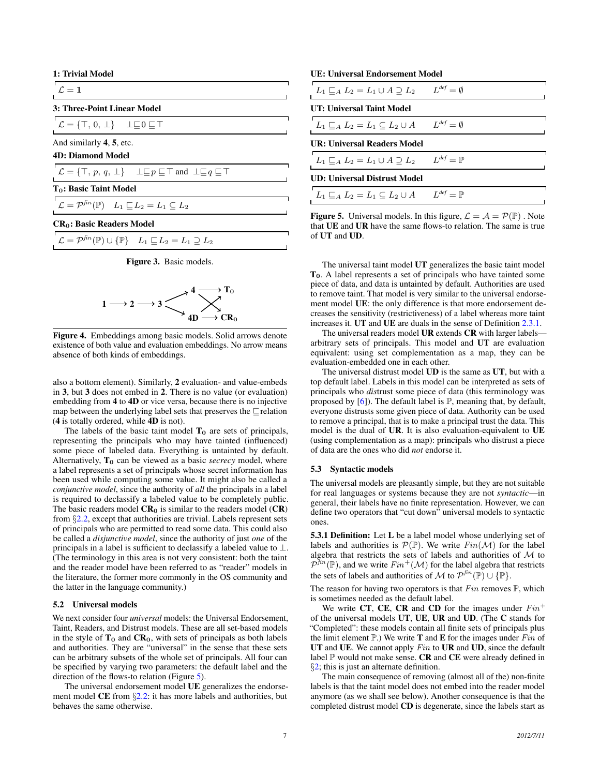| 1: Trivial Model                                                                                                     |
|----------------------------------------------------------------------------------------------------------------------|
| $\mathcal{L}=1$                                                                                                      |
| 3: Three-Point Linear Model                                                                                          |
| $\mathcal{L} = \{\top, 0, \bot\}$ $\bot \sqsubseteq 0 \sqsubseteq \top$                                              |
| And similarly 4, 5, etc.                                                                                             |
| 4D: Diamond Model                                                                                                    |
| $\mathcal{L} = \{\top, p, q, \bot\}$ $\bot \sqsubseteq p \sqsubseteq \top$ and $\bot \sqsubseteq q \sqsubseteq \top$ |
| To: Basic Taint Model                                                                                                |
| $\mathcal{L} = \mathcal{P}^{\text{fin}}(\mathbb{P}) \quad L_1 \sqsubseteq L_2 = L_1 \subseteq L_2$                   |
| CR <sub>0</sub> : Basic Readers Model                                                                                |
| $L = \mathcal{P}^{\text{fin}}(\mathbb{P}) \cup \{\mathbb{P}\}\$ $L_1 \sqsubseteq L_2 = L_1 \supseteq L_2$            |
| <b>Figure 3.</b> Basic models.                                                                                       |

<span id="page-6-3"></span>

<span id="page-6-2"></span>Figure 4. Embeddings among basic models. Solid arrows denote existence of both value and evaluation embeddings. No arrow means absence of both kinds of embeddings.

also a bottom element). Similarly, 2 evaluation- and value-embeds in 3, but 3 does not embed in 2. There is no value (or evaluation) embedding from 4 to 4D or vice versa, because there is no injective map between the underlying label sets that preserves the  $\Box$  relation (4 is totally ordered, while 4D is not).

The labels of the basic taint model  $T_0$  are sets of principals, representing the principals who may have tainted (influenced) some piece of labeled data. Everything is untainted by default. Alternatively,  $T_0$  can be viewed as a basic *secrecy* model, where a label represents a set of principals whose secret information has been used while computing some value. It might also be called a *conjunctive model*, since the authority of *all* the principals in a label is required to declassify a labeled value to be completely public. The basic readers model  $CR_0$  is similar to the readers model  $(CR)$ from §[2.2,](#page-1-6) except that authorities are trivial. Labels represent sets of principals who are permitted to read some data. This could also be called a *disjunctive model*, since the authority of just *one* of the principals in a label is sufficient to declassify a labeled value to  $\bot$ . (The terminology in this area is not very consistent: both the taint and the reader model have been referred to as "reader" models in the literature, the former more commonly in the OS community and the latter in the language community.)

#### <span id="page-6-1"></span>5.2 Universal models

We next consider four *universal* models: the Universal Endorsement, Taint, Readers, and Distrust models. These are all set-based models in the style of  $T_0$  and  $CR_0$ , with sets of principals as both labels and authorities. They are "universal" in the sense that these sets can be arbitrary subsets of the whole set of principals. All four can be specified by varying two parameters: the default label and the direction of the flows-to relation (Figure [5\)](#page-6-4).

The universal endorsement model UE generalizes the endorsement model CE from §[2.2:](#page-1-6) it has more labels and authorities, but behaves the same otherwise.

| <b>UE: Universal Endorsement Model</b>           |                        |
|--------------------------------------------------|------------------------|
| $L_1 \sqsubset_A L_2 = L_1 \cup A \supset L_2$   | $L^{def} = \emptyset$  |
| UT: Universal Taint Model                        |                        |
| $L_1 \sqsubset_A L_2 = L_1 \sqsubset L_2 \cup A$ | $L^{def} = \emptyset$  |
| <b>UR: Universal Readers Model</b>               |                        |
| $L_1 \sqsubset_A L_2 = L_1 \cup A \supset L_2$   | $L^{def} = \mathbb{P}$ |
| <b>UD: Universal Distrust Model</b>              |                        |
| $L_1 \sqsubset_A L_2 = L_1 \subseteq L_2 \cup A$ | $I^{def} = \mathbb{P}$ |
|                                                  |                        |

<span id="page-6-4"></span>**Figure 5.** Universal models. In this figure,  $\mathcal{L} = \mathcal{A} = \mathcal{P}(\mathbb{P})$ . Note that UE and UR have the same flows-to relation. The same is true of UT and UD.

The universal taint model UT generalizes the basic taint model T0. A label represents a set of principals who have tainted some piece of data, and data is untainted by default. Authorities are used to remove taint. That model is very similar to the universal endorsement model UE: the only difference is that more endorsement decreases the sensitivity (restrictiveness) of a label whereas more taint increases it. UT and UE are duals in the sense of Definition [2.3.1.](#page-1-5)

The universal readers model UR extends CR with larger labelsarbitrary sets of principals. This model and UT are evaluation equivalent: using set complementation as a map, they can be evaluation-embedded one in each other.

The universal distrust model UD is the same as UT, but with a top default label. Labels in this model can be interpreted as sets of principals who *dis*trust some piece of data (this terminology was proposed by  $[6]$ ). The default label is  $\mathbb{P}$ , meaning that, by default, everyone distrusts some given piece of data. Authority can be used to remove a principal, that is to make a principal trust the data. This model is the dual of UR. It is also evaluation-equivalent to UE (using complementation as a map): principals who distrust a piece of data are the ones who did *not* endorse it.

# <span id="page-6-0"></span>5.3 Syntactic models

The universal models are pleasantly simple, but they are not suitable for real languages or systems because they are not *syntactic*—in general, their labels have no finite representation. However, we can define two operators that "cut down" universal models to syntactic ones.

<span id="page-6-5"></span>5.3.1 Definition: Let L be a label model whose underlying set of labels and authorities is  $\mathcal{P}(\mathbb{P})$ . We write  $Fin(\mathcal{M})$  for the label algebra that restricts the sets of labels and authorities of  $M$  to  $\mathcal{P}^{\tilde{f}in}(\mathbb{P})$ , and we write  $Fin^+(\mathcal{M})$  for the label algebra that restricts the sets of labels and authorities of M to  $\mathcal{P}^{\text{fin}}(\mathbb{P}) \cup \{\mathbb{P}\}.$ 

The reason for having two operators is that  $Fin$  removes  $\mathbb{P}$ , which is sometimes needed as the default label.

We write CT, CE, CR and CD for the images under  $Fin^+$ of the universal models UT, UE, UR and UD. (The C stands for "Completed": these models contain all finite sets of principals plus the limit element  $\mathbb{P}$ .) We write **T** and **E** for the images under Fin of UT and UE. We cannot apply  $Fin$  to UR and UD, since the default label  $\mathbb P$  would not make sense. CR and CE were already defined in §[2;](#page-1-0) this is just an alternate definition.

The main consequence of removing (almost all of the) non-finite labels is that the taint model does not embed into the reader model anymore (as we shall see below). Another consequence is that the completed distrust model CD is degenerate, since the labels start as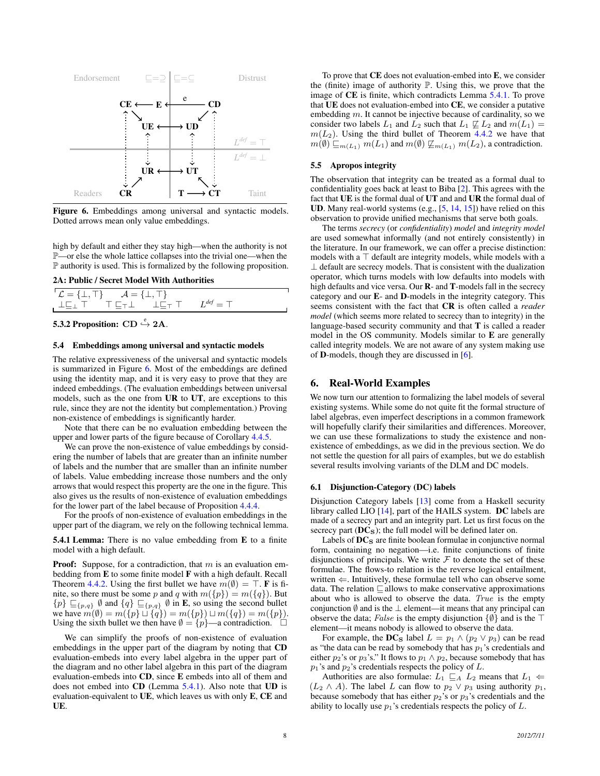

<span id="page-7-1"></span>Figure 6. Embeddings among universal and syntactic models. Dotted arrows mean only value embeddings.

high by default and either they stay high—when the authority is not P—or else the whole lattice collapses into the trivial one—when the  $\mathbb P$  authority is used. This is formalized by the following proposition.

2A: Public / Secret Model With Authorities

| $\mathcal{L} = \{\perp, \top\}$ $\mathcal{A} = \{\perp, \top\}$                                                 |  |  |
|-----------------------------------------------------------------------------------------------------------------|--|--|
| , $\bot \sqsubseteq_{\bot} \top$ $\top$ $\sqsubset_{\top} \bot$ $\bot$ $\sqsubset_{\top} \top$ $L^{def} = \top$ |  |  |

5.3.2 Proposition:  $CD \overset{e}{\hookrightarrow} 2A$ .

## 5.4 Embeddings among universal and syntactic models

The relative expressiveness of the universal and syntactic models is summarized in Figure [6.](#page-7-1) Most of the embeddings are defined using the identity map, and it is very easy to prove that they are indeed embeddings. (The evaluation embeddings between universal models, such as the one from UR to UT, are exceptions to this rule, since they are not the identity but complementation.) Proving non-existence of embeddings is significantly harder.

Note that there can be no evaluation embedding between the upper and lower parts of the figure because of Corollary [4.4.5.](#page-5-3)

We can prove the non-existence of value embeddings by considering the number of labels that are greater than an infinite number of labels and the number that are smaller than an infinite number of labels. Value embedding increase those numbers and the only arrows that would respect this property are the one in the figure. This also gives us the results of non-existence of evaluation embeddings for the lower part of the label because of Proposition [4.4.4.](#page-4-3)

For the proofs of non-existence of evaluation embeddings in the upper part of the diagram, we rely on the following technical lemma.

5.4.1 Lemma: There is no value embedding from E to a finite model with a high default.

**Proof:** Suppose, for a contradiction, that  $m$  is an evaluation embedding from E to some finite model F with a high default. Recall Theorem [4.4.2.](#page-4-2) Using the first bullet we have  $m(\emptyset) = \top$ . **F** is finite, so there must be some p and q with  $m({p}) = m({q})$ . But  $\{p\} \sqsubseteq_{\{p,q\}} \emptyset$  and  $\{q\} \sqsubseteq_{\{p,q\}} \emptyset$  in **E**, so using the second bullet we have  $m(\emptyset) = m(\{p\} \sqcup \{q\}) = m(\{p\}) \sqcup m(\{q\}) = m(\{p\}).$ Using the sixth bullet we then have  $\emptyset = \{p\}$ —a contradiction.  $\square$ 

We can simplify the proofs of non-existence of evaluation embeddings in the upper part of the diagram by noting that CD evaluation-embeds into every label algebra in the upper part of the diagram and no other label algebra in this part of the diagram evaluation-embeds into CD, since E embeds into all of them and does not embed into CD (Lemma [5.4.1\)](#page-6-5). Also note that UD is evaluation-equivalent to UE, which leaves us with only E, CE and UE.

To prove that CE does not evaluation-embed into E, we consider the (finite) image of authority  $\mathbb P$ . Using this, we prove that the image of CE is finite, which contradicts Lemma [5.4.1.](#page-6-5) To prove that UE does not evaluation-embed into CE, we consider a putative embedding m. It cannot be injective because of cardinality, so we consider two labels  $L_1$  and  $\overline{L}_2$  such that  $L_1 \not\sqsubseteq L_2$  and  $m(L_1) =$  $m(L_2)$ . Using the third bullet of Theorem [4.4.2](#page-4-2) we have that  $m(\emptyset) \sqsubseteq_{m(L_1)} m(L_1)$  and  $m(\emptyset) \sqsubseteq_{m(L_1)} m(L_2)$ , a contradiction.

#### 5.5 Apropos integrity

The observation that integrity can be treated as a formal dual to confidentiality goes back at least to Biba [\[2\]](#page-11-11). This agrees with the fact that UE is the formal dual of UT and and UR the formal dual of UD. Many real-world systems (e.g., [\[5,](#page-11-6) [14,](#page-11-12) [15\]](#page-11-4)) have relied on this observation to provide unified mechanisms that serve both goals.

The terms *secrecy* (or *confidentiality*) *model* and *integrity model* are used somewhat informally (and not entirely consistently) in the literature. In our framework, we can offer a precise distinction: models with a  $\top$  default are integrity models, while models with a  $\perp$  default are secrecy models. That is consistent with the dualization operator, which turns models with low defaults into models with high defaults and vice versa. Our **R**- and **T**-models fall in the secrecy category and our E- and D-models in the integrity category. This seems consistent with the fact that CR is often called a *reader model* (which seems more related to secrecy than to integrity) in the language-based security community and that T is called a reader model in the OS community. Models similar to E are generally called integrity models. We are not aware of any system making use of D-models, though they are discussed in [\[6\]](#page-11-9).

# <span id="page-7-0"></span>6. Real-World Examples

We now turn our attention to formalizing the label models of several existing systems. While some do not quite fit the formal structure of label algebras, even imperfect descriptions in a common framework will hopefully clarify their similarities and differences. Moreover, we can use these formalizations to study the existence and nonexistence of embeddings, as we did in the previous section. We do not settle the question for all pairs of examples, but we do establish several results involving variants of the DLM and DC models.

#### 6.1 Disjunction-Category (DC) labels

Disjunction Category labels [\[13\]](#page-11-2) come from a Haskell security library called LIO [\[14\]](#page-11-12), part of the HAILS system. DC labels are made of a secrecy part and an integrity part. Let us first focus on the secrecy part  $(DC_s)$ ; the full model will be defined later on.

Labels of  $DC<sub>S</sub>$  are finite boolean formulae in conjunctive normal form, containing no negation—i.e. finite conjunctions of finite disjunctions of principals. We write  $F$  to denote the set of these formulae. The flows-to relation is the reverse logical entailment, written  $\Leftarrow$ . Intuitively, these formulae tell who can observe some data. The relation  $\sqsubseteq$  allows to make conservative approximations about who is allowed to observe the data. True is the empty conjunction  $\emptyset$  and is the  $\bot$  element—it means that any principal can observe the data; False is the empty disjunction  $\{\emptyset\}$  and is the  $\top$ element—it means nobody is allowed to observe the data.

For example, the DC<sub>S</sub> label  $L = p_1 \wedge (p_2 \vee p_3)$  can be read as "the data can be read by somebody that has  $p_1$ 's credentials and either  $p_2$ 's or  $p_3$ 's." It flows to  $p_1 \wedge p_2$ , because somebody that has  $p_1$ 's and  $p_2$ 's credentials respects the policy of L.

Authorities are also formulae:  $L_1 \subseteq_A L_2$  means that  $L_1 \Leftarrow$  $(L_2 \wedge A)$ . The label L can flow to  $p_2 \vee p_3$  using authority  $p_1$ , because somebody that has either  $p_2$ 's or  $p_3$ 's credentials and the ability to locally use  $p_1$ 's credentials respects the policy of L.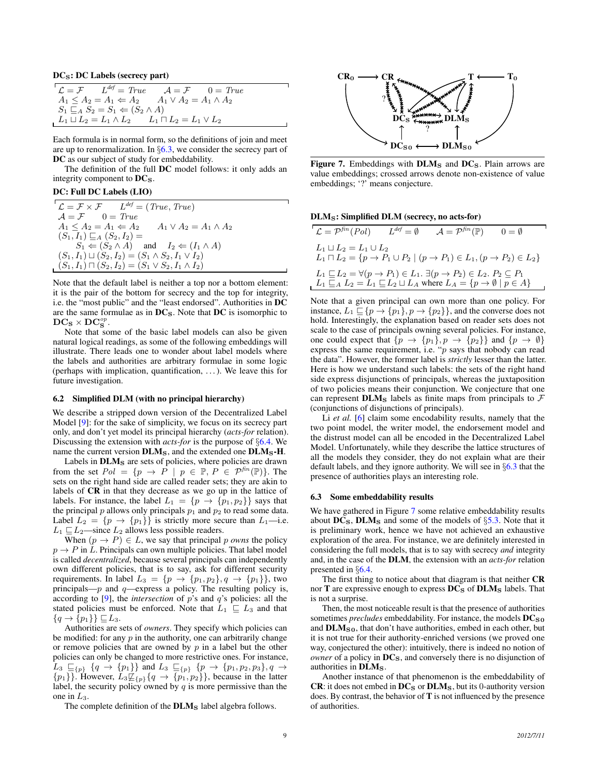#### $DC<sub>S</sub>: DC$  Labels (secrecy part)

$$
\mathcal{L} = \mathcal{F} \qquad L^{def} = True \qquad \mathcal{A} = \mathcal{F} \qquad 0 = True
$$
\n
$$
A_1 \le A_2 = A_1 \Leftarrow A_2 \qquad A_1 \vee A_2 = A_1 \wedge A_2
$$
\n
$$
S_1 \sqsubseteq_A S_2 = S_1 \Leftarrow (S_2 \wedge A)
$$
\n
$$
L_1 \sqcup L_2 = L_1 \wedge L_2 \qquad L_1 \sqcap L_2 = L_1 \vee L_2
$$

Each formula is in normal form, so the definitions of join and meet are up to renormalization. In  $\S6.3$ , we consider the secrecy part of DC as our subject of study for embeddability.

The definition of the full DC model follows: it only adds an integrity component to DC<sub>S</sub>.

#### DC: Full DC Labels (LIO)

$$
\mathcal{L} = \mathcal{F} \times \mathcal{F} \qquad L^{def} = (True, True)
$$
  
\n
$$
\mathcal{A} = \mathcal{F} \qquad 0 = True
$$
  
\n
$$
A_1 \le A_2 = A_1 \Leftarrow A_2 \qquad A_1 \vee A_2 = A_1 \wedge A_2
$$
  
\n
$$
(S_1, I_1) \sqsubseteq_A (S_2, I_2) =
$$
  
\n
$$
S_1 \Leftarrow (S_2 \wedge A) \qquad \text{and} \qquad I_2 \Leftarrow (I_1 \wedge A)
$$
  
\n
$$
(S_1, I_1) \sqcup (S_2, I_2) = (S_1 \wedge S_2, I_1 \vee I_2)
$$
  
\n
$$
(S_1, I_1) \sqcap (S_2, I_2) = (S_1 \vee S_2, I_1 \wedge I_2)
$$

Note that the default label is neither a top nor a bottom element: it is the pair of the bottom for secrecy and the top for integrity, i.e. the "most public" and the "least endorsed". Authorities in DC are the same formulae as in  $DC<sub>S</sub>$ . Note that  $DC$  is isomorphic to  $\mathbf{DC_S} \times \mathbf{DC_S^{\mathit{op}}}.$ 

Note that some of the basic label models can also be given natural logical readings, as some of the following embeddings will illustrate. There leads one to wonder about label models where the labels and authorities are arbitrary formulae in some logic (perhaps with implication, quantification, . . . ). We leave this for future investigation.

# <span id="page-8-2"></span>6.2 Simplified DLM (with no principal hierarchy)

We describe a stripped down version of the Decentralized Label Model [\[9\]](#page-11-1): for the sake of simplicity, we focus on its secrecy part only, and don't yet model its principal hierarchy (*acts-for* relation). Discussing the extension with *acts-for* is the purpose of §[6.4.](#page-9-0) We name the current version  $DLM_S$ , and the extended one  $DLM_S$ -H.

Labels in DLM<sup>S</sup> are sets of policies, where policies are drawn from the set  $Pol = \{p \rightarrow P \mid p \in \mathbb{P}, P \in \mathcal{P}^{\text{fin}}(\mathbb{P})\}.$  The sets on the right hand side are called reader sets; they are akin to labels of CR in that they decrease as we go up in the lattice of labels. For instance, the label  $L_1 = \{p \rightarrow \{p_1, p_2\}\}\$  says that the principal  $p$  allows only principals  $p_1$  and  $p_2$  to read some data. Label  $L_2 = \{p \rightarrow \{p_1\}\}\$ is strictly more secure than  $L_1$ —i.e.  $L_1 \sqsubseteq L_2$ —since  $L_2$  allows less possible readers.

When  $(p \to P) \in L$ , we say that principal p *owns* the policy  $p \rightarrow P$  in L. Principals can own multiple policies. That label model is called *decentralized*, because several principals can independently own different policies, that is to say, ask for different security requirements. In label  $L_3 = \{p \rightarrow \{p_1, p_2\}, q \rightarrow \{p_1\}\}\$ , two principals— $p$  and  $q$ —express a policy. The resulting policy is, according to [\[9\]](#page-11-1), the *intersection* of p's and q's policies: all the stated policies must be enforced. Note that  $L_1 \subseteq L_3$  and that  ${q \rightarrow {p_1}} \subseteq L_3.$ 

Authorities are sets of *owners*. They specify which policies can be modified: for any  $p$  in the authority, one can arbitrarily change or remove policies that are owned by  $p$  in a label but the other policies can only be changed to more restrictive ones. For instance,  $L_3 \sqsubseteq_{\{p\}} \{q \to \{p_1\}\}\$  and  $L_3 \sqsubseteq_{\{p\}} \{p \to \{p_1, p_2, p_3\}, q \to$  ${p_1}$ . However,  $L_3 \not\sqsubseteq_{\{p\}} {q \to {p_1, p_2\}}$ , because in the latter label, the security policy owned by  $q$  is more permissive than the one in  $L_3$ .

The complete definition of the DLM<sub>S</sub> label algebra follows.



<span id="page-8-1"></span>Figure 7. Embeddings with  $DLM<sub>S</sub>$  and  $DC<sub>S</sub>$ . Plain arrows are value embeddings; crossed arrows denote non-existence of value embeddings; '?' means conjecture.

|  | DLM <sub>S</sub> : Simplified DLM (secrecy, no acts-for) |
|--|----------------------------------------------------------|
|--|----------------------------------------------------------|

$$
\mathcal{L} = \mathcal{P}^{\text{fin}}(Pol) \qquad L^{\text{def}} = \emptyset \qquad \mathcal{A} = \mathcal{P}^{\text{fin}}(\mathbb{P}) \qquad 0 = \emptyset
$$
\n
$$
L_1 \sqcup L_2 = L_1 \cup L_2
$$
\n
$$
L_1 \sqcap L_2 = \{p \to P_1 \cup P_2 \mid (p \to P_1) \in L_1, (p \to P_2) \in L_2\}
$$
\n
$$
L_1 \sqsubseteq L_2 = \forall (p \to P_1) \in L_1. \exists (p \to P_2) \in L_2. \ P_2 \subseteq P_1
$$
\n
$$
L_1 \sqsubseteq A \ L_2 = L_1 \sqsubseteq L_2 \sqcup L_3 \text{ where } L_A = \{p \to \emptyset \mid p \in A\}
$$

Note that a given principal can own more than one policy. For instance,  $L_1 \sqsubseteq \{p \rightarrow \{p_1\}, p \rightarrow \{p_2\}\}\$ , and the converse does not hold. Interestingly, the explanation based on reader sets does not scale to the case of principals owning several policies. For instance, one could expect that  $\{p \to \{p_1\}, p \to \{p_2\}\}\$ and  $\{p \to \emptyset\}$ express the same requirement, i.e. " $p$  says that nobody can read the data". However, the former label is *strictly* lesser than the latter. Here is how we understand such labels: the sets of the right hand side express disjunctions of principals, whereas the juxtaposition of two policies means their conjunction. We conjecture that one can represent  $\bf{DLM}_S$  labels as finite maps from principals to  $\mathcal F$ (conjunctions of disjunctions of principals).

Li *et al.* [\[6\]](#page-11-9) claim some encodability results, namely that the two point model, the writer model, the endorsement model and the distrust model can all be encoded in the Decentralized Label Model. Unfortunately, while they describe the lattice structures of all the models they consider, they do not explain what are their default labels, and they ignore authority. We will see in §[6.3](#page-8-0) that the presence of authorities plays an interesting role.

#### <span id="page-8-0"></span>6.3 Some embeddability results

We have gathered in Figure [7](#page-8-1) some relative embeddability results about  $DCs$ ,  $DLM<sub>S</sub>$  and some of the models of  $\S$ [5.3.](#page-6-0) Note that it is preliminary work, hence we have not achieved an exhaustive exploration of the area. For instance, we are definitely interested in considering the full models, that is to say with secrecy *and* integrity and, in the case of the DLM, the extension with an *acts-for* relation presented in  $66.4$ .

The first thing to notice about that diagram is that neither CR nor  $T$  are expressive enough to express  $DC_S$  of  $DLM_S$  labels. That is not a surprise.

Then, the most noticeable result is that the presence of authorities sometimes *precludes* embeddability. For instance, the models  $DC_{S0}$ and  $DLM<sub>S0</sub>$ , that don't have authorities, embed in each other, but it is not true for their authority-enriched versions (we proved one way, conjectured the other): intuitively, there is indeed no notion of *owner* of a policy in DC<sub>S</sub>, and conversely there is no disjunction of authorities in  $\text{DLM}_\text{S}$ .

Another instance of that phenomenon is the embeddability of  $CR:$  it does not embed in  $DC_S$  or  $DLM_S$ , but its 0-authority version does. By contrast, the behavior of T is not influenced by the presence of authorities.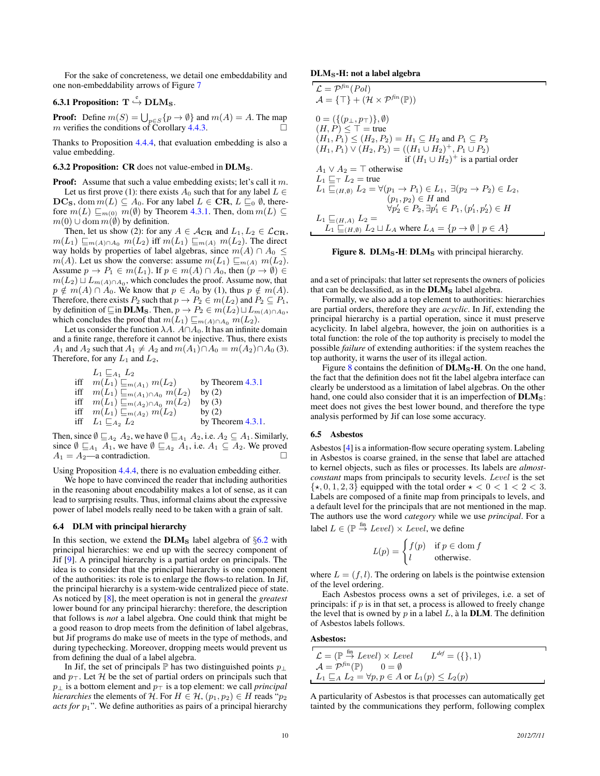For the sake of concreteness, we detail one embeddability and one non-embeddability arrows of Figure [7](#page-8-1)

# 6.3.1 Proposition:  $\text{T} \stackrel{\text{e}}{\hookrightarrow} \text{DLM}_\text{S}$ .

**Proof:** Define  $m(S) = \bigcup_{p \in S} \{p \to \emptyset\}$  and  $m(A) = A$ . The map m verifies the conditions of Corollary  $4.4.3$ .

Thanks to Proposition [4.4.4,](#page-4-3) that evaluation embedding is also a value embedding.

# 6.3.2 Proposition: CR does not value-embed in DLM<sub>S</sub>.

Proof: Assume that such a value embedding exists; let's call it m. Let us first prove (1): there exists  $A_0$  such that for any label  $L \in$  $DCs$ , dom  $m(L) \subseteq A_0$ . For any label  $L \in \mathbf{CR}, L \sqsubseteq_0 \emptyset$ , therefore  $m(L) \sqsubseteq_{m(0)} m(\emptyset)$  by Theorem [4.3.1.](#page-4-1) Then,  $dom m(L) \subseteq$  $m(0) \cup \text{dom } m(\emptyset)$  by definition.

Then, let us show (2): for any  $A \in \mathcal{A}_{\mathbf{CR}}$  and  $L_1, L_2 \in \mathcal{L}_{\mathbf{CR}}$ ,  $m(L_1) \sqsubseteq_{m(A)\cap A_0} m(L_2)$  iff  $m(L_1) \sqsubseteq_{m(A)} m(L_2)$ . The direct way holds by properties of label algebras, since  $m(A) \cap A_0 \leq$  $m(A)$ . Let us show the converse: assume  $m(L_1) \sqsubseteq_{m(A)} m(L_2)$ . Assume  $p \to P_1 \in m(L_1)$ . If  $p \in m(A) \cap A_0$ , then  $(p \to \emptyset) \in$  $m(L_2) \sqcup L_{m(A)\cap A_0}$ , which concludes the proof. Assume now, that  $p \notin m(A) \cap A_0$ . We know that  $p \in A_0$  by (1), thus  $p \notin m(A)$ . Therefore, there exists  $P_2$  such that  $p \to P_2 \in m(L_2)$  and  $P_2 \subseteq P_1$ , by definition of  $\sqsubseteq$  in **DLMs**. Then,  $p \to P_2 \in m(L_2) \sqcup L_{m(A) \cap A_0}$ , which concludes the proof that  $m(L_1) \sqsubseteq_{m(A)\cap A_0} m(L_2)$ .

Let us consider the function  $\lambda A$ .  $A \cap A_0$ . It has an infinite domain and a finite range, therefore it cannot be injective. Thus, there exists A<sub>1</sub> and A<sub>2</sub> such that  $A_1 \neq A_2$  and  $m(A_1) \cap A_0 = m(A_2) \cap A_0$  (3). Therefore, for any  $L_1$  and  $L_2$ ,

$$
L_1 \sqsubseteq_{A_1} L_2
$$
  
iff  $m(L_1) \sqsubseteq_{m(A_1)} m(L_2)$  by Theorem 4.3.1  
iff  $m(L_1) \sqsubseteq_{m(A_1) \cap A_0} m(L_2)$  by (2)  
iff  $m(L_1) \sqsubseteq_{m(A_2) \cap A_0} m(L_2)$  by (3)  
iff  $m(L_1) \sqsubseteq_{m(A_2)} m(L_2)$  by (2)  
iff  $L_1 \sqsubseteq_{A_2} L_2$  by Theorem 4.3.1.

Then, since  $\emptyset \sqsubseteq_{A_2} A_2$ , we have  $\emptyset \sqsubseteq_{A_1} A_2$ , i.e.  $A_2 \subseteq A_1$ . Similarly, since  $\emptyset \sqsubseteq_{A_1} A_1$ , we have  $\emptyset \sqsubseteq_{A_2} A_1$ , i.e.  $A_1 \subseteq A_2$ . We proved  $A_1 = A_2$ —a contradiction.

Using Proposition [4.4.4,](#page-4-3) there is no evaluation embedding either.

We hope to have convinced the reader that including authorities in the reasoning about encodability makes a lot of sense, as it can lead to surprising results. Thus, informal claims about the expressive power of label models really need to be taken with a grain of salt.

#### <span id="page-9-0"></span>6.4 DLM with principal hierarchy

In this section, we extend the  $\bf{DLM}_S$  label algebra of §[6.2](#page-8-2) with principal hierarchies: we end up with the secrecy component of Jif [\[9\]](#page-11-1). A principal hierarchy is a partial order on principals. The idea is to consider that the principal hierarchy is one component of the authorities: its role is to enlarge the flows-to relation. In Jif, the principal hierarchy is a system-wide centralized piece of state. As noticed by [\[8\]](#page-11-13), the meet operation is not in general the *greatest* lower bound for any principal hierarchy: therefore, the description that follows is *not* a label algebra. One could think that might be a good reason to drop meets from the definition of label algebras, but Jif programs do make use of meets in the type of methods, and during typechecking. Moreover, dropping meets would prevent us from defining the dual of a label algebra.

In Jif, the set of principals  $\mathbb P$  has two distinguished points  $p_{\perp}$ and  $p_{\top}$ . Let H be the set of partial orders on principals such that  $p_{\perp}$  is a bottom element and  $p_{\perp}$  is a top element: we call *principal hierarchies* the elements of H. For  $H \in \mathcal{H}$ ,  $(p_1, p_2) \in H$  reads " $p_2$ " *acts for*  $p_1$ ". We define authorities as pairs of a principal hierarchy

# DLMS-H: not a label algebra

| $\mathcal{L} = \mathcal{P}^{\text{fin}}(Pol)$                                                         |  |
|-------------------------------------------------------------------------------------------------------|--|
| $\mathcal{A} = {\{\top\} + (\mathcal{H} \times \mathcal{P}^\text{fin}(\mathbb{P}))}$                  |  |
| $0 = (\{(p_{\perp}, p_{\perp})\}, \emptyset)$                                                         |  |
| $(H, P) \leq T$ = true                                                                                |  |
| $(H_1, P_1) < (H_2, P_2) = H_1 \subset H_2$ and $P_1 \subset P_2$                                     |  |
| $(H_1, P_1) \vee (H_2, P_2) = ((H_1 \cup H_2)^+, P_1 \cup P_2)$                                       |  |
| if $(H_1 \cup H_2)^+$ is a partial order                                                              |  |
| $A_1 \vee A_2 = \top$ otherwise                                                                       |  |
| $L_1 \sqsubset_{\tau} L_2$ = true                                                                     |  |
| $L_1 \sqsubseteq_{(H,\emptyset)} L_2 = \forall (p_1 \to P_1) \in L_1, \exists (p_2 \to P_2) \in L_2,$ |  |
| $(p_1, p_2) \in H$ and                                                                                |  |
| $\forall p'_2 \in P_2, \exists p'_1 \in P_1, (p'_1, p'_2) \in H$                                      |  |
| $L_1 \sqsubseteq_{(H,A)} L_2 =$                                                                       |  |
| $L_1 \sqsubseteq_{(H,\emptyset)} L_2 \sqcup L_A$ where $L_A = \{p \to \emptyset \mid p \in A\}$       |  |

<span id="page-9-1"></span>Figure 8.  $DLM<sub>S</sub>$ -H:  $DLM<sub>S</sub>$  with principal hierarchy.

and a set of principals: that latter set represents the owners of policies that can be declassified, as in the  $DLM<sub>S</sub>$  label algebra.

Formally, we also add a top element to authorities: hierarchies are partial orders, therefore they are *acyclic*. In Jif, extending the principal hierarchy is a partial operation, since it must preserve acyclicity. In label algebra, however, the join on authorities is a total function: the role of the top authority is precisely to model the possible *failure* of extending authorities: if the system reaches the top authority, it warns the user of its illegal action.

Figure  $\delta$  contains the definition of  $\rm DLM_S-H$ . On the one hand, the fact that the definition does not fit the label algebra interface can clearly be understood as a limitation of label algebras. On the other hand, one could also consider that it is an imperfection of  $\text{DLM}_\text{S}$ : meet does not gives the best lower bound, and therefore the type analysis performed by Jif can lose some accuracy.

# 6.5 Asbestos

Asbestos [\[4\]](#page-11-3) is a information-flow secure operating system. Labeling in Asbestos is coarse grained, in the sense that label are attached to kernel objects, such as files or processes. Its labels are *almostconstant* maps from principals to security levels. Level is the set  $\{*, 0, 1, 2, 3\}$  equipped with the total order  $\star < 0 < 1 < 2 < 3$ . Labels are composed of a finite map from principals to levels, and a default level for the principals that are not mentioned in the map. The authors use the word *category* while we use *principal*. For a label  $L \in (\mathbb{P} \stackrel{\text{fin}}{\rightarrow} Level) \times Level$ , we define

$$
L(p) = \begin{cases} f(p) & \text{if } p \in \text{dom } f \\ l & \text{otherwise.} \end{cases}
$$

where  $L = (f, l)$ . The ordering on labels is the pointwise extension of the level ordering.

Each Asbestos process owns a set of privileges, i.e. a set of principals: if  $p$  is in that set, a process is allowed to freely change the level that is owned by  $p$  in a label  $L$ , à la **DLM**. The definition of Asbestos labels follows.

# Asbestos:

| $\mathcal{L} = (\mathbb{P} \stackrel{\text{fin}}{\rightarrow} Level) \times Level$ | $L^{def} = (\{\}, 1)$ |
|------------------------------------------------------------------------------------|-----------------------|
| $\mathcal{A} = \mathcal{P}^{\text{fin}}(\mathbb{P}) \qquad 0 = \emptyset$          |                       |
| $L_1 \sqsubseteq_A L_2 = \forall p, p \in A$ or $L_1(p) \leq L_2(p)$               |                       |

A particularity of Asbestos is that processes can automatically get tainted by the communications they perform, following complex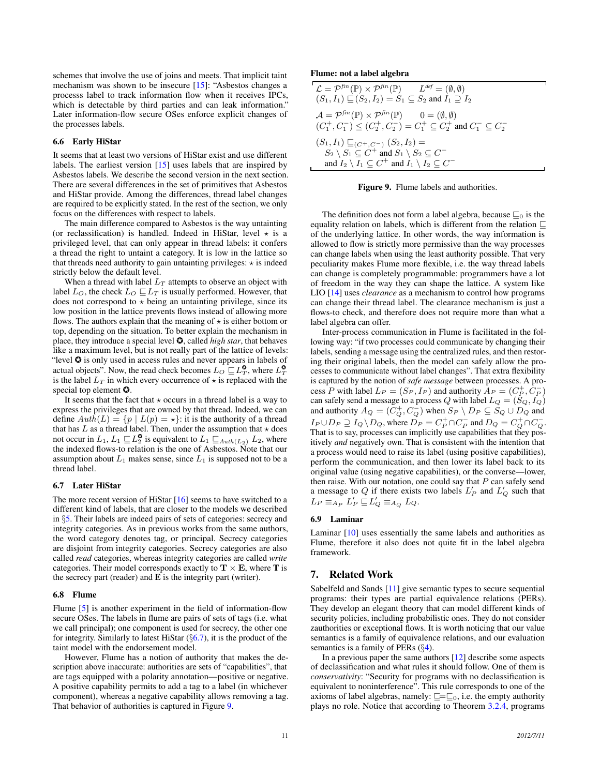schemes that involve the use of joins and meets. That implicit taint mechanism was shown to be insecure [\[15\]](#page-11-4): "Asbestos changes a processs label to track information flow when it receives IPCs, which is detectable by third parties and can leak information." Later information-flow secure OSes enforce explicit changes of the processes labels.

#### 6.6 Early HiStar

It seems that at least two versions of HiStar exist and use different labels. The earliest version [\[15\]](#page-11-4) uses labels that are inspired by Asbestos labels. We describe the second version in the next section. There are several differences in the set of primitives that Asbestos and HiStar provide. Among the differences, thread label changes are required to be explicitly stated. In the rest of the section, we only focus on the differences with respect to labels.

The main difference compared to Asbestos is the way untainting (or reclassification) is handled. Indeed in HiStar, level  $\star$  is a privileged level, that can only appear in thread labels: it confers a thread the right to untaint a category. It is low in the lattice so that threads need authority to gain untainting privileges:  $\star$  is indeed strictly below the default level.

When a thread with label  $L_T$  attempts to observe an object with label  $L_O$ , the check  $L_O \sqsubseteq L_T$  is usually performed. However, that does not correspond to  $\star$  being an untainting privilege, since its low position in the lattice prevents flows instead of allowing more flows. The authors explain that the meaning of  $\star$  is either bottom or top, depending on the situation. To better explain the mechanism in place, they introduce a special level ✪, called *high star*, that behaves like a maximum level, but is not really part of the lattice of levels: "level ✪ is only used in access rules and never appears in labels of actual objects". Now, the read check becomes  $L_0 \sqsubseteq L_T^{\bullet}$ , where  $L_T^{\bullet}$ is the label  $L_T$  in which every occurrence of  $\star$  is replaced with the special top element  $\odot$ .

It seems that the fact that  $\star$  occurs in a thread label is a way to express the privileges that are owned by that thread. Indeed, we can define  $Auth(L) = \{p | L(p) = \star\}$ : it is the authority of a thread that has  $L$  as a thread label. Then, under the assumption that  $\star$  does not occur in  $L_1, L_1 \sqsubseteq L_2^{\bullet}$  is equivalent to  $L_1 \sqsubseteq_{\text{Auth}(L_2)} L_2$ , where the indexed flows-to relation is the one of Asbestos. Note that our assumption about  $L_1$  makes sense, since  $L_1$  is supposed not to be a thread label.

#### <span id="page-10-1"></span>6.7 Later HiStar

The more recent version of HiStar  $[16]$  seems to have switched to a different kind of labels, that are closer to the models we described in §[5.](#page-5-0) Their labels are indeed pairs of sets of categories: secrecy and integrity categories. As in previous works from the same authors, the word category denotes tag, or principal. Secrecy categories are disjoint from integrity categories. Secrecy categories are also called *read* categories, whereas integrity categories are called *write* categories. Their model corresponds exactly to  $T \times E$ , where T is the secrecy part (reader) and  $E$  is the integrity part (writer).

#### 6.8 Flume

Flume [\[5\]](#page-11-6) is another experiment in the field of information-flow secure OSes. The labels in flume are pairs of sets of tags (i.e. what we call principal); one component is used for secrecy, the other one for integrity. Similarly to latest HiStar  $(\S6.7)$  $(\S6.7)$ , it is the product of the taint model with the endorsement model.

However, Flume has a notion of authority that makes the description above inaccurate: authorities are sets of "capabilities", that are tags equipped with a polarity annotation—positive or negative. A positive capability permits to add a tag to a label (in whichever component), whereas a negative capability allows removing a tag. That behavior of authorities is captured in Figure [9.](#page-10-2)

#### Flume: not a label algebra

| $\mathcal{L} = \mathcal{P}^{\text{fin}}(\mathbb{P}) \times \mathcal{P}^{\text{fin}}(\mathbb{P}) \qquad L^{\text{def}} = (\emptyset, \emptyset)$<br>$(S_1, I_1) \sqsubseteq (S_2, I_2) = S_1 \subseteq S_2$ and $I_1 \supseteq I_2$ |
|------------------------------------------------------------------------------------------------------------------------------------------------------------------------------------------------------------------------------------|
| $\mathcal{A} = \mathcal{P}^{\text{fin}}(\mathbb{P}) \times \mathcal{P}^{\text{fin}}(\mathbb{P}) \qquad 0 = (\emptyset, \emptyset)$<br>$(C_1^+, C_1^-) \le (C_2^+, C_2^-) = C_1^+ \subseteq C_2^+$ and $C_1^- \subseteq C_2^-$      |
| $(S_1, I_1) \sqsubseteq_{(C^+, C^-)} (S_2, I_2) =$<br>$S_2 \setminus S_1 \subseteq C^+$ and $S_1 \setminus S_2 \subseteq C^-$<br>and $I_2 \setminus I_1 \subseteq C^+$ and $I_1 \setminus I_2 \subseteq C^-$                       |

#### <span id="page-10-2"></span>Figure 9. Flume labels and authorities.

The definition does not form a label algebra, because  $\sqsubseteq_0$  is the equality relation on labels, which is different from the relation  $\Box$ of the underlying lattice. In other words, the way information is allowed to flow is strictly more permissive than the way processes can change labels when using the least authority possible. That very peculiarity makes Flume more flexible, i.e. the way thread labels can change is completely programmable: programmers have a lot of freedom in the way they can shape the lattice. A system like LIO [\[14\]](#page-11-12) uses *clearance* as a mechanism to control how programs can change their thread label. The clearance mechanism is just a flows-to check, and therefore does not require more than what a label algebra can offer.

Inter-process communication in Flume is facilitated in the following way: "if two processes could communicate by changing their labels, sending a message using the centralized rules, and then restoring their original labels, then the model can safely allow the processes to communicate without label changes". That extra flexibility is captured by the notion of *safe message* between processes. A process P with label  $L_P = (S_P, I_P)$  and authority  $\overline{A_P} = (C_P^+, \overline{C_P})$ can safely send a message to a process  $Q$  with label  $\mathcal{L}_Q = (S_Q, I_Q)$ and authority  $A_Q = (C_Q^+, C_Q^-)$  when  $S_P \setminus D_P \subseteq S_Q \cup D_Q$  and  $I_P \cup D_P \supseteq I_Q \setminus D_Q$ , where  $D_P = C_P^+ \cap C_P^-$  and  $D_Q = C_Q^+ \cap C_Q^-$ . That is to say, processes can implicitly use capabilities that they positively *and* negatively own. That is consistent with the intention that a process would need to raise its label (using positive capabilities), perform the communication, and then lower its label back to its original value (using negative capabilities), or the converse—lower, then raise. With our notation, one could say that  $P$  can safely send a message to Q if there exists two labels  $L'_P$  and  $L'_Q$  such that  $L_P \equiv_{A_P} L'_P \sqsubseteq L'_Q \equiv_{A_Q} L_Q.$ 

#### 6.9 Laminar

Laminar [\[10\]](#page-11-7) uses essentially the same labels and authorities as Flume, therefore it also does not quite fit in the label algebra framework.

# <span id="page-10-0"></span>7. Related Work

Sabelfeld and Sands [\[11\]](#page-11-14) give semantic types to secure sequential programs: their types are partial equivalence relations (PERs). They develop an elegant theory that can model different kinds of security policies, including probabilistic ones. They do not consider zauthorities or exceptional flows. It is worth noticing that our value semantics is a family of equivalence relations, and our evaluation semantics is a family of PERs (§[4\)](#page-3-0).

In a previous paper the same authors [\[12\]](#page-11-15) describe some aspects of declassification and what rules it should follow. One of them is *conservativity*: "Security for programs with no declassification is equivalent to noninterference". This rule corresponds to one of the axioms of label algebras, namely:  $\sqsubseteq =\sqsubseteq_0$ , i.e. the empty authority plays no role. Notice that according to Theorem [3.2.4,](#page-3-1) programs